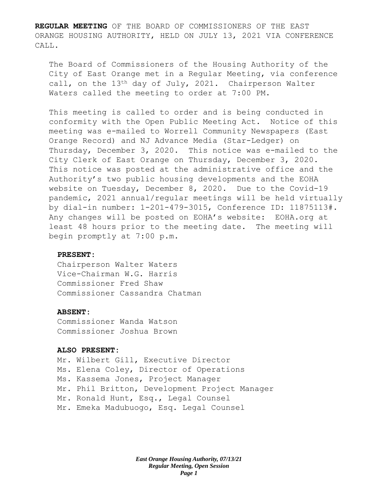**REGULAR MEETING** OF THE BOARD OF COMMISSIONERS OF THE EAST ORANGE HOUSING AUTHORITY, HELD ON JULY 13, 2021 VIA CONFERENCE CALL.

The Board of Commissioners of the Housing Authority of the City of East Orange met in a Regular Meeting, via conference call, on the 13th day of July, 2021. Chairperson Walter Waters called the meeting to order at 7:00 PM.

This meeting is called to order and is being conducted in conformity with the Open Public Meeting Act. Notice of this meeting was e-mailed to Worrell Community Newspapers (East Orange Record) and NJ Advance Media (Star-Ledger) on Thursday, December 3, 2020. This notice was e-mailed to the City Clerk of East Orange on Thursday, December 3, 2020. This notice was posted at the administrative office and the Authority's two public housing developments and the EOHA website on Tuesday, December 8, 2020. Due to the Covid-19 pandemic, 2021 annual/regular meetings will be held virtually by dial-in number: 1-201-479-3015, Conference ID: 11875113#. Any changes will be posted on EOHA's website: EOHA.org at least 48 hours prior to the meeting date. The meeting will begin promptly at 7:00 p.m.

#### **PRESENT:**

Chairperson Walter Waters Vice-Chairman W.G. Harris Commissioner Fred Shaw Commissioner Cassandra Chatman

### **ABSENT:**

Commissioner Wanda Watson Commissioner Joshua Brown

#### **ALSO PRESENT:**

Mr. Wilbert Gill, Executive Director Ms. Elena Coley, Director of Operations Ms. Kassema Jones, Project Manager Mr. Phil Britton, Development Project Manager Mr. Ronald Hunt, Esq., Legal Counsel Mr. Emeka Madubuogo, Esq. Legal Counsel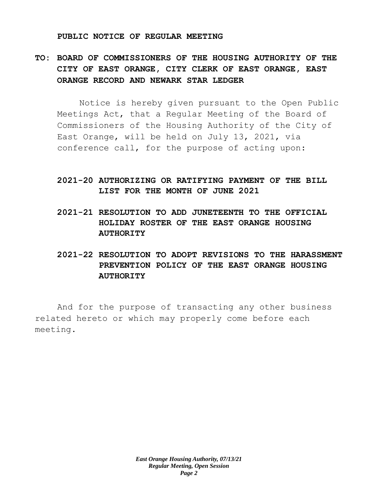#### **PUBLIC NOTICE OF REGULAR MEETING**

# **TO: BOARD OF COMMISSIONERS OF THE HOUSING AUTHORITY OF THE CITY OF EAST ORANGE, CITY CLERK OF EAST ORANGE, EAST ORANGE RECORD AND NEWARK STAR LEDGER**

Notice is hereby given pursuant to the Open Public Meetings Act, that a Regular Meeting of the Board of Commissioners of the Housing Authority of the City of East Orange, will be held on July 13, 2021, via conference call, for the purpose of acting upon:

## **2021-20 AUTHORIZING OR RATIFYING PAYMENT OF THE BILL LIST FOR THE MONTH OF JUNE 2021**

- **2021-21 RESOLUTION TO ADD JUNETEENTH TO THE OFFICIAL HOLIDAY ROSTER OF THE EAST ORANGE HOUSING AUTHORITY**
- **2021-22 RESOLUTION TO ADOPT REVISIONS TO THE HARASSMENT PREVENTION POLICY OF THE EAST ORANGE HOUSING AUTHORITY**

And for the purpose of transacting any other business related hereto or which may properly come before each meeting.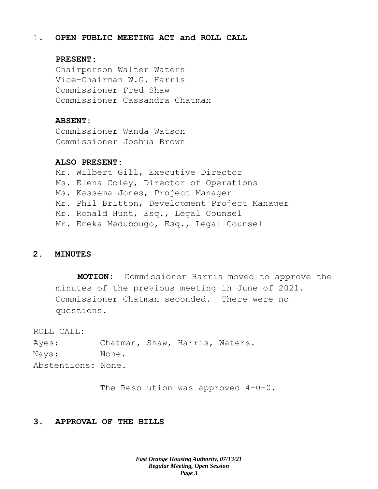### 1. **OPEN PUBLIC MEETING ACT and ROLL CALL**

#### **PRESENT:**

Chairperson Walter Waters Vice-Chairman W.G. Harris Commissioner Fred Shaw Commissioner Cassandra Chatman

#### **ABSENT:**

Commissioner Wanda Watson Commissioner Joshua Brown

### **ALSO PRESENT:**

Mr. Wilbert Gill, Executive Director Ms. Elena Coley, Director of Operations Ms. Kassema Jones, Project Manager Mr. Phil Britton, Development Project Manager Mr. Ronald Hunt, Esq., Legal Counsel Mr. Emeka Madubougo, Esq., Legal Counsel

### **2. MINUTES**

**MOTION:** Commissioner Harris moved to approve the minutes of the previous meeting in June of 2021. Commissioner Chatman seconded. There were no questions.

ROLL CALL:

Ayes: Chatman, Shaw, Harris, Waters. Nays: None. Abstentions: None.

The Resolution was approved 4-0-0.

### **3. APPROVAL OF THE BILLS**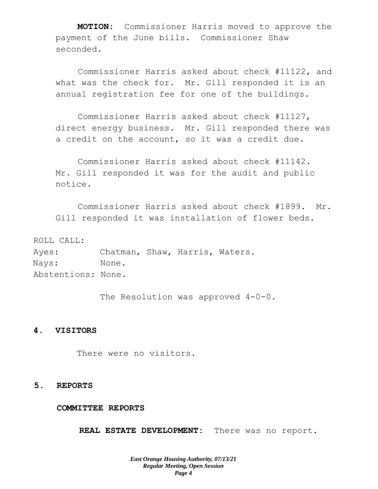**MOTION:** Commissioner Harris moved to approve the payment of the June bills. Commissioner Shaw seconded.

Commissioner Harris asked about check #11122, and what was the check for. Mr. Gill responded it is an annual registration fee for one of the buildings.

Commissioner Harris asked about check #11127, direct energy business. Mr. Gill responded there was a credit on the account, so it was a credit due.

Commissioner Harris asked about check #11142. Mr. Gill responded it was for the audit and public notice.

Commissioner Harris asked about check #1899. Mr. Gill responded it was installation of flower beds.

ROLL CALL: Ayes: Chatman, Shaw, Harris, Waters. Nays: None. Abstentions: None.

The Resolution was approved 4-0-0.

#### **4. VISITORS**

There were no visitors.

#### **5. REPORTS**

**COMMITTEE REPORTS**

**REAL ESTATE DEVELOPMENT:** There was no report.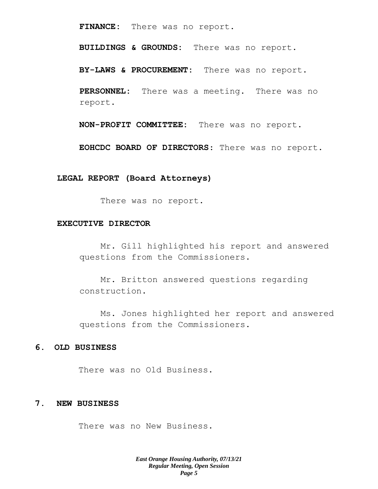**FINANCE:** There was no report.

**BUILDINGS & GROUNDS:** There was no report.

**BY-LAWS & PROCUREMENT:** There was no report.

**PERSONNEL:** There was a meeting. There was no report.

**NON-PROFIT COMMITTEE:** There was no report.

**EOHCDC BOARD OF DIRECTORS**: There was no report.

#### **LEGAL REPORT (Board Attorneys)**

There was no report.

#### **EXECUTIVE DIRECTOR**

Mr. Gill highlighted his report and answered questions from the Commissioners.

Mr. Britton answered questions regarding construction.

Ms. Jones highlighted her report and answered questions from the Commissioners.

#### **6. OLD BUSINESS**

There was no Old Business.

### **7. NEW BUSINESS**

There was no New Business.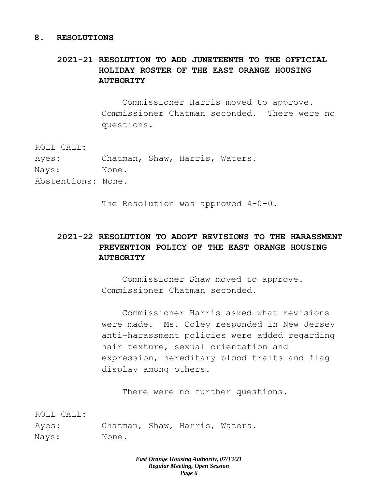#### **8. RESOLUTIONS**

# **2021-21 RESOLUTION TO ADD JUNETEENTH TO THE OFFICIAL HOLIDAY ROSTER OF THE EAST ORANGE HOUSING AUTHORITY**

Commissioner Harris moved to approve. Commissioner Chatman seconded. There were no questions.

ROLL CALL:

Ayes: Chatman, Shaw, Harris, Waters. Nays: None. Abstentions: None.

The Resolution was approved  $4-0-0$ .

# **2021-22 RESOLUTION TO ADOPT REVISIONS TO THE HARASSMENT PREVENTION POLICY OF THE EAST ORANGE HOUSING AUTHORITY**

Commissioner Shaw moved to approve. Commissioner Chatman seconded.

Commissioner Harris asked what revisions were made. Ms. Coley responded in New Jersey anti-harassment policies were added regarding hair texture, sexual orientation and expression, hereditary blood traits and flag display among others.

There were no further questions.

ROLL CALL:

Ayes: Chatman, Shaw, Harris, Waters. Nays: None.